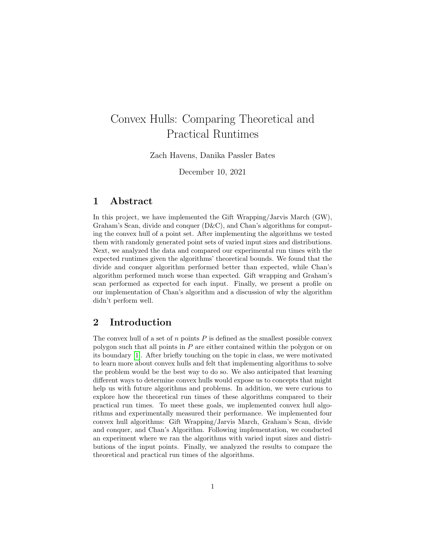# Convex Hulls: Comparing Theoretical and Practical Runtimes

Zach Havens, Danika Passler Bates

December 10, 2021

## 1 Abstract

In this project, we have implemented the Gift Wrapping/Jarvis March (GW), Graham's Scan, divide and conquer  $(D\&C)$ , and Chan's algorithms for computing the convex hull of a point set. After implementing the algorithms we tested them with randomly generated point sets of varied input sizes and distributions. Next, we analyzed the data and compared our experimental run times with the expected runtimes given the algorithms' theoretical bounds. We found that the divide and conquer algorithm performed better than expected, while Chan's algorithm performed much worse than expected. Gift wrapping and Graham's scan performed as expected for each input. Finally, we present a profile on our implementation of Chan's algorithm and a discussion of why the algorithm didn't perform well.

# 2 Introduction

The convex hull of a set of  $n$  points  $P$  is defined as the smallest possible convex polygon such that all points in P are either contained within the polygon or on its boundary [\[1\]](#page-9-0). After briefly touching on the topic in class, we were motivated to learn more about convex hulls and felt that implementing algorithms to solve the problem would be the best way to do so. We also anticipated that learning different ways to determine convex hulls would expose us to concepts that might help us with future algorithms and problems. In addition, we were curious to explore how the theoretical run times of these algorithms compared to their practical run times. To meet these goals, we implemented convex hull algorithms and experimentally measured their performance. We implemented four convex hull algorithms: Gift Wrapping/Jarvis March, Graham's Scan, divide and conquer, and Chan's Algorithm. Following implementation, we conducted an experiment where we ran the algorithms with varied input sizes and distributions of the input points. Finally, we analyzed the results to compare the theoretical and practical run times of the algorithms.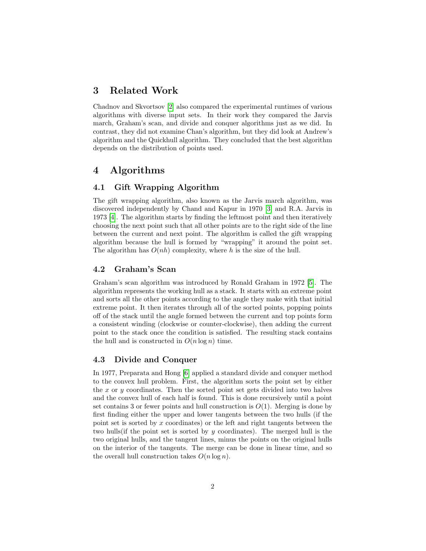## 3 Related Work

Chadnov and Skvortsov [\[2\]](#page-9-1) also compared the experimental runtimes of various algorithms with diverse input sets. In their work they compared the Jarvis march, Graham's scan, and divide and conquer algorithms just as we did. In contrast, they did not examine Chan's algorithm, but they did look at Andrew's algorithm and the Quickhull algorithm. They concluded that the best algorithm depends on the distribution of points used.

# 4 Algorithms

## 4.1 Gift Wrapping Algorithm

The gift wrapping algorithm, also known as the Jarvis march algorithm, was discovered independently by Chand and Kapur in 1970 [\[3\]](#page-9-2) and R.A. Jarvis in 1973 [\[4\]](#page-9-3). The algorithm starts by finding the leftmost point and then iteratively choosing the next point such that all other points are to the right side of the line between the current and next point. The algorithm is called the gift wrapping algorithm because the hull is formed by "wrapping" it around the point set. The algorithm has  $O(nh)$  complexity, where h is the size of the hull.

#### 4.2 Graham's Scan

Graham's scan algorithm was introduced by Ronald Graham in 1972 [\[5\]](#page-9-4). The algorithm represents the working hull as a stack. It starts with an extreme point and sorts all the other points according to the angle they make with that initial extreme point. It then iterates through all of the sorted points, popping points off of the stack until the angle formed between the current and top points form a consistent winding (clockwise or counter-clockwise), then adding the current point to the stack once the condition is satisfied. The resulting stack contains the hull and is constructed in  $O(n \log n)$  time.

#### 4.3 Divide and Conquer

In 1977, Preparata and Hong [\[6\]](#page-9-5) applied a standard divide and conquer method to the convex hull problem. First, the algorithm sorts the point set by either the  $x$  or  $y$  coordinates. Then the sorted point set gets divided into two halves and the convex hull of each half is found. This is done recursively until a point set contains 3 or fewer points and hull construction is  $O(1)$ . Merging is done by first finding either the upper and lower tangents between the two hulls (if the point set is sorted by x coordinates) or the left and right tangents between the two hulls (if the point set is sorted by  $y$  coordinates). The merged hull is the two original hulls, and the tangent lines, minus the points on the original hulls on the interior of the tangents. The merge can be done in linear time, and so the overall hull construction takes  $O(n \log n)$ .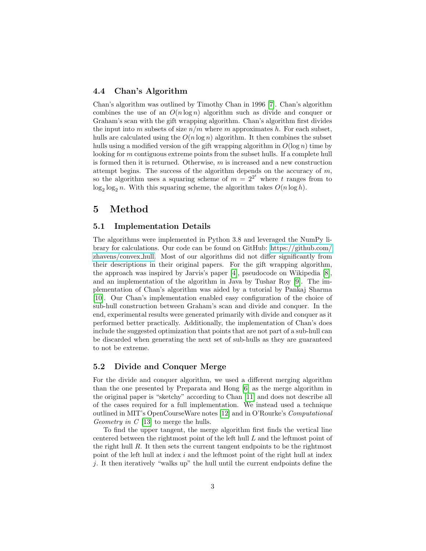#### 4.4 Chan's Algorithm

Chan's algorithm was outlined by Timothy Chan in 1996 [\[7\]](#page-10-0). Chan's algorithm combines the use of an  $O(n \log n)$  algorithm such as divide and conquer or Graham's scan with the gift wrapping algorithm. Chan's algorithm first divides the input into m subsets of size  $n/m$  where m approximates h. For each subset, hulls are calculated using the  $O(n \log n)$  algorithm. It then combines the subset hulls using a modified version of the gift wrapping algorithm in  $O(\log n)$  time by looking for m contiguous extreme points from the subset hulls. If a complete hull is formed then it is returned. Otherwise,  $m$  is increased and a new construction attempt begins. The success of the algorithm depends on the accuracy of  $m$ , so the algorithm uses a squaring scheme of  $m = 2^{2^t}$  where t ranges from to  $\log_2 \log_2 n$ . With this squaring scheme, the algorithm takes  $O(n \log h)$ .

## 5 Method

#### 5.1 Implementation Details

The algorithms were implemented in Python 3.8 and leveraged the NumPy library for calculations. Our code can be found on GitHub: [https://github.com/](https://github.com/zhavens/convex_hull) [zhavens/convex](https://github.com/zhavens/convex_hull) hull. Most of our algorithms did not differ significantly from their descriptions in their original papers. For the gift wrapping algorithm, the approach was inspired by Jarvis's paper [\[4\]](#page-9-3), pseudocode on Wikipedia [\[8\]](#page-10-1), and an implementation of the algorithm in Java by Tushar Roy [\[9\]](#page-10-2). The implementation of Chan's algorithm was aided by a tutorial by Pankaj Sharma [\[10\]](#page-10-3). Our Chan's implementation enabled easy configuration of the choice of sub-hull construction between Graham's scan and divide and conquer. In the end, experimental results were generated primarily with divide and conquer as it performed better practically. Additionally, the implementation of Chan's does include the suggested optimization that points that are not part of a sub-hull can be discarded when generating the next set of sub-hulls as they are guaranteed to not be extreme.

#### 5.2 Divide and Conquer Merge

For the divide and conquer algorithm, we used a different merging algorithm than the one presented by Preparata and Hong [\[6\]](#page-9-5) as the merge algorithm in the original paper is "sketchy" according to Chan [\[11\]](#page-10-4) and does not describe all of the cases required for a full implementation. We instead used a technique outlined in MIT's OpenCourseWare notes [\[12\]](#page-10-5) and in O'Rourke's Computational Geometry in  $C$  [\[13\]](#page-10-6) to merge the hulls.

To find the upper tangent, the merge algorithm first finds the vertical line centered between the rightmost point of the left hull L and the leftmost point of the right hull  $R$ . It then sets the current tangent endpoints to be the rightmost point of the left hull at index i and the leftmost point of the right hull at index j. It then iteratively "walks up" the hull until the current endpoints define the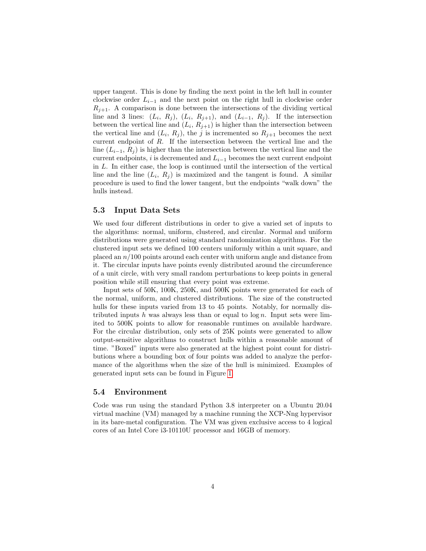upper tangent. This is done by finding the next point in the left hull in counter clockwise order  $L_{i-1}$  and the next point on the right hull in clockwise order  $R_{j+1}$ . A comparison is done between the intersections of the dividing vertical line and 3 lines:  $(L_i, R_j), (L_i, R_{j+1}),$  and  $(L_{i-1}, R_j)$ . If the intersection between the vertical line and  $(L_i, R_{j+1})$  is higher than the intersection between the vertical line and  $(L_i, R_j)$ , the j is incremented so  $R_{j+1}$  becomes the next current endpoint of R. If the intersection between the vertical line and the line ( $L_{i-1}, R_i$ ) is higher than the intersection between the vertical line and the current endpoints, i is decremented and  $L_{i-1}$  becomes the next current endpoint in L. In either case, the loop is continued until the intersection of the vertical line and the line  $(L_i, R_j)$  is maximized and the tangent is found. A similar procedure is used to find the lower tangent, but the endpoints "walk down" the hulls instead.

#### 5.3 Input Data Sets

We used four different distributions in order to give a varied set of inputs to the algorithms: normal, uniform, clustered, and circular. Normal and uniform distributions were generated using standard randomization algorithms. For the clustered input sets we defined 100 centers uniformly within a unit square, and placed an  $n/100$  points around each center with uniform angle and distance from it. The circular inputs have points evenly distributed around the circumference of a unit circle, with very small random perturbations to keep points in general position while still ensuring that every point was extreme.

Input sets of 50K, 100K, 250K, and 500K points were generated for each of the normal, uniform, and clustered distributions. The size of the constructed hulls for these inputs varied from 13 to 45 points. Notably, for normally distributed inputs h was always less than or equal to  $\log n$ . Input sets were limited to 500K points to allow for reasonable runtimes on available hardware. For the circular distribution, only sets of 25K points were generated to allow output-sensitive algorithms to construct hulls within a reasonable amount of time. "Boxed" inputs were also generated at the highest point count for distributions where a bounding box of four points was added to analyze the performance of the algorithms when the size of the hull is minimized. Examples of generated input sets can be found in Figure [1.](#page-4-0)

#### 5.4 Environment

Code was run using the standard Python 3.8 interpreter on a Ubuntu 20.04 virtual machine (VM) managed by a machine running the XCP-Nng hypervisor in its bare-metal configuration. The VM was given exclusive access to 4 logical cores of an Intel Core i3-10110U processor and 16GB of memory.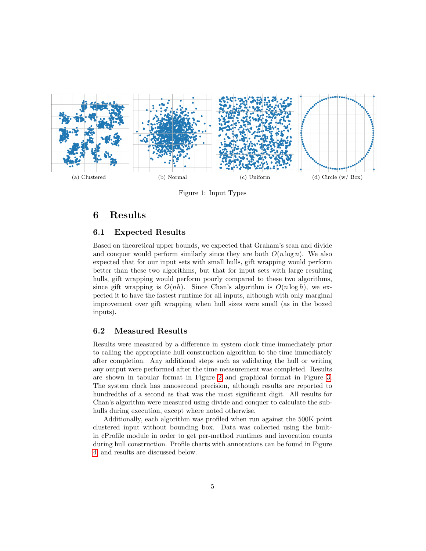<span id="page-4-0"></span>

Figure 1: Input Types

# 6 Results

#### 6.1 Expected Results

Based on theoretical upper bounds, we expected that Graham's scan and divide and conquer would perform similarly since they are both  $O(n \log n)$ . We also expected that for our input sets with small hulls, gift wrapping would perform better than these two algorithms, but that for input sets with large resulting hulls, gift wrapping would perform poorly compared to these two algorithms, since gift wrapping is  $O(nh)$ . Since Chan's algorithm is  $O(n \log h)$ , we expected it to have the fastest runtime for all inputs, although with only marginal improvement over gift wrapping when hull sizes were small (as in the boxed inputs).

#### 6.2 Measured Results

Results were measured by a difference in system clock time immediately prior to calling the appropriate hull construction algorithm to the time immediately after completion. Any additional steps such as validating the hull or writing any output were performed after the time measurement was completed. Results are shown in tabular format in Figure [2](#page-5-0) and graphical format in Figure [3.](#page-5-1) The system clock has nanosecond precision, although results are reported to hundredths of a second as that was the most significant digit. All results for Chan's algorithm were measured using divide and conquer to calculate the subhulls during execution, except where noted otherwise.

Additionally, each algorithm was profiled when run against the 500K point clustered input without bounding box. Data was collected using the builtin cProfile module in order to get per-method runtimes and invocation counts during hull construction. Profile charts with annotations can be found in Figure [4,](#page-7-0) and results are discussed below.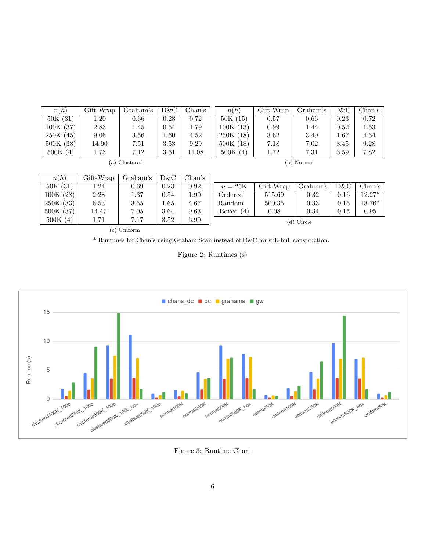<span id="page-5-0"></span>

| n(h)     | Gift-Wrap | Graham's      | D&C  | Chan's | n(h)     | Gift-Wrap | Graham's   | D&C      | Chan's |
|----------|-----------|---------------|------|--------|----------|-----------|------------|----------|--------|
| 50K(31)  | $1.20\,$  | 0.66          | 0.23 | 0.72   | 50K(15)  | 0.57      | 0.66       | 0.23     | 0.72   |
| 100K(37) | 2.83      | 1.45          | 0.54 | 1.79   | 100K(13) | 0.99      | 1.44       | 0.52     | 1.53   |
| 250K(45) | 9.06      | 3.56          | 1.60 | 4.52   | 250K(18) | 3.62      | 3.49       | $1.67\,$ | 4.64   |
| 500K(38) | 14.90     | 7.51          | 3.53 | 9.29   | 500K(18) | 7.18      | 7.02       | 3.45     | 9.28   |
| 500K(4)  | 1.73      | 7.12          | 3.61 | 11.08  | 500K(4)  | 1.72      | 7.31       | 3.59     | 7.82   |
|          |           | (a) Clustered |      |        |          |           | (b) Normal |          |        |
|          |           |               |      |        |          |           |            |          |        |

| n(h)     | Gift-Wrap | Graham's | D&C  | Chan's |             |           |            |          |          |
|----------|-----------|----------|------|--------|-------------|-----------|------------|----------|----------|
| 50K(31)  | $1.24\,$  | 0.69     | 0.23 | 0.92   | $n=25K$     | Gift-Wrap | Graham's   | D&C      | Chan's   |
| 100K(28) | 2.28      | 1.37     | 0.54 | 1.90   | Ordered     | 515.69    | 0.32       | $0.16\,$ | $12.27*$ |
| 250K(33) | 6.53      | 3.55     | 4.65 | 4.67   | Random      | 500.35    | 0.33       | $0.16\,$ | 13.76*   |
| 500K(37) | 14.47     | 7.05     | 3.64 | 9.63   | Boxed $(4)$ | 0.08      | 0.34       | 0.15     | 0.95     |
| 500K(4)  | 1.71      | 7.17     | 3.52 | 6.90   |             |           | (d) Circle |          |          |

(c) Uniform

<span id="page-5-1"></span>\* Runtimes for Chan's using Graham Scan instead of D&C for sub-hull construction.

Figure 2: Runtimes (s)



Figure 3: Runtime Chart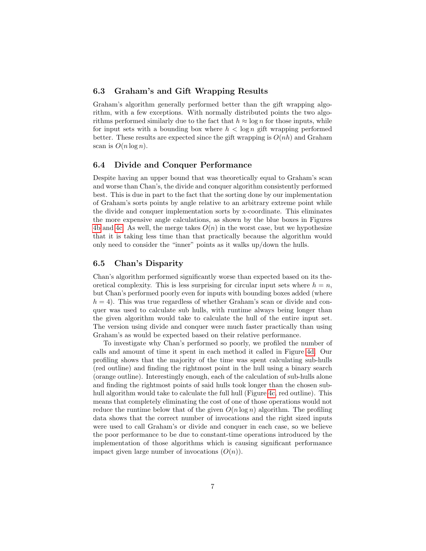#### 6.3 Graham's and Gift Wrapping Results

Graham's algorithm generally performed better than the gift wrapping algorithm, with a few exceptions. With normally distributed points the two algorithms performed similarly due to the fact that  $h \approx \log n$  for those inputs, while for input sets with a bounding box where  $h < \log n$  gift wrapping performed better. These results are expected since the gift wrapping is  $O(nh)$  and Graham scan is  $O(n \log n)$ .

#### 6.4 Divide and Conquer Performance

Despite having an upper bound that was theoretically equal to Graham's scan and worse than Chan's, the divide and conquer algorithm consistently performed best. This is due in part to the fact that the sorting done by our implementation of Graham's sorts points by angle relative to an arbitrary extreme point while the divide and conquer implementation sorts by x-coordinate. This eliminates the more expensive angle calculations, as shown by the blue boxes in Figures [4b](#page-7-1) and [4c.](#page-7-2) As well, the merge takes  $O(n)$  in the worst case, but we hypothesize that it is taking less time than that practically because the algorithm would only need to consider the "inner" points as it walks up/down the hulls.

#### <span id="page-6-0"></span>6.5 Chan's Disparity

Chan's algorithm performed significantly worse than expected based on its theoretical complexity. This is less surprising for circular input sets where  $h = n$ , but Chan's performed poorly even for inputs with bounding boxes added (where  $h = 4$ ). This was true regardless of whether Graham's scan or divide and conquer was used to calculate sub hulls, with runtime always being longer than the given algorithm would take to calculate the hull of the entire input set. The version using divide and conquer were much faster practically than using Graham's as would be expected based on their relative performance.

To investigate why Chan's performed so poorly, we profiled the number of calls and amount of time it spent in each method it called in Figure [4d.](#page-7-3) Our profiling shows that the majority of the time was spent calculating sub-hulls (red outline) and finding the rightmost point in the hull using a binary search (orange outline). Interestingly enough, each of the calculation of sub-hulls alone and finding the rightmost points of said hulls took longer than the chosen sub-hull algorithm would take to calculate the full hull (Figure [4c,](#page-7-2) red outline). This means that completely eliminating the cost of one of those operations would not reduce the runtime below that of the given  $O(n \log n)$  algorithm. The profiling data shows that the correct number of invocations and the right sized inputs were used to call Graham's or divide and conquer in each case, so we believe the poor performance to be due to constant-time operations introduced by the implementation of those algorithms which is causing significant performance impact given large number of invocations  $(O(n))$ .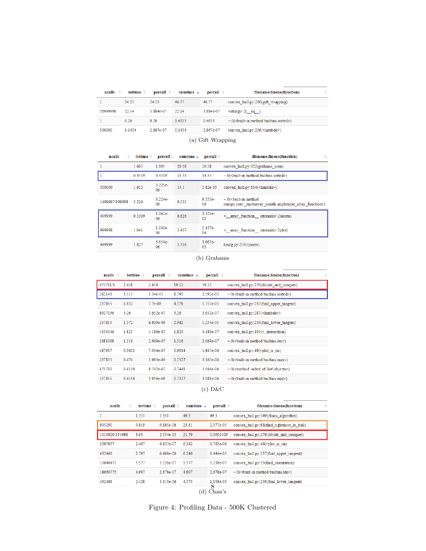<span id="page-7-0"></span>

| ncalls<br>$\Rightarrow$ | tottime $\triangleq$ | $\bf percall =$ | $cumtime -$ | $\bf percall =$ | filename:lineno(function)                       | ÷ |  |
|-------------------------|----------------------|-----------------|-------------|-----------------|-------------------------------------------------|---|--|
|                         | 24.23                | 24.23           | 46.77       | 46.77           | convex hull.py:200(gift wrapping)               |   |  |
| 56999998                | 22.14                | 3.884e-07       | 22.14       | 3.884e-07       | $\leq$ tring>:2(eq)                             |   |  |
|                         | 0.26                 | 0.26            | 0.4033      | 0.4033          | $\sim 0$ (<br>built-in method builtins sorted>) |   |  |
| 500000                  | 0.1434               | 2.867e-07       | 0.1434      | 2.867e-07       | convex hull.py:206( <lambda>)</lambda>          |   |  |
| (a) Gift Wrapping       |                      |                 |             |                 |                                                 |   |  |

<span id="page-7-1"></span>

| ncalls         | tottime $\triangleq$ | $\bf percall$   | $cumtime -$ | $\bf percall =$ | $\Rightarrow$<br>filename:lineno(function)                                               |
|----------------|----------------------|-----------------|-------------|-----------------|------------------------------------------------------------------------------------------|
| 1              | 1.605                | 1.605           | 20.58       | 20.58           | convex hull.py:322(grahams scan)                                                         |
|                | 0.4519               | 0.4519          | 14.55       | 14.55           | ~: 0(<br>built-in method builtins.sorted>)                                               |
| 500000         | 1.612                | $3.225e-$<br>06 | 14.1        | 2.82e-05        | convex hull.py:334( <lambda>)</lambda>                                                   |
| 1499997/999998 | 3.224                | $3.224e-$<br>06 | 9.555       | $9.555e-$<br>06 | $\sim 0$ (<br>built-in method<br>numpy.core. multiarray umath.implement array function>) |
| 499999         | 0.5309               | $1.062e-$<br>06 | 6.626       | $1.325e-$<br>05 | $\leq$ array function internals $\geq$ :2(norm)                                          |
| 999998         | 1.041                | $1.041e-$<br>06 | 5.457       | 5.457e-<br>06   | $\leq$ array function internals $\geq$ :2(dot)                                           |
| 499999         | 1.827                | $3.654e-$<br>06 | 5.336       | $1.067e-$<br>05 | $\text{linalg.py:} 2363 \text{(norm)}$                                                   |

#### (b) Grahams

<span id="page-7-2"></span>

| $ncalls =$ | tottime $\triangleq$ | percall =   | $cumtime -$ | $\bf percall =$ | ÷<br>filename:lineno(function)                                |
|------------|----------------------|-------------|-------------|-----------------|---------------------------------------------------------------|
| 475711/1   | 2.458                | 2.458       | 19.52       | 19.52           | convex hull.py:276(divide and conquer)                        |
| 262143     | 3.513                | 1.34e-05    | 6.795       | 2.592e-05       | ~: 0(<br>built-in method builtins.sorted>)                    |
| 237855     | 1.832                | $7.7e-06$   | 4.179       | 1.757e-05       | convex hull.py:237(find upper tangent)                        |
| 8927136    | 3.26                 | 3.652e-07   | 3.26        | 3.652e-07       | convex hull.py:287( <lambda>)</lambda>                        |
| 237855     | 1.572                | $6.609e-06$ | 2.982       | 1.254e-05       | convex hull.py:259(find lower tangent)                        |
| 4354146    | 1.823                | 4.186e-07   | 1.823       | 4.186e-07       | convex hull.py:194(y intesection)                             |
| 5681068    | 1.516                | 2.669e-07   | 1.516       | 2.669e-07       | ~: 0(<br>built-in method builtins.len>)                       |
| 487917     | 0.3432               | 7.034e-07   | 0.9014      | 1.847e-06       | convex hull.py:49(vplot is on)                                |
| 237855     | 0.474                | 1.993e-06   | 0.7527      | 3.165e-06       | ~: 0(<br>built-in method builtins.max>)                       |
| 475710     | 0.4159               | 8.742e-07   | 0.7441      | 1.564e-06       | ~:0( <method 'index'="" 'list'="" objects="" of="">)</method> |
| 237855     | 0.4558               | 1.916e-06   | 0.7327      | 3.081e-06       | ~: 0(<br>built-in method builtins.min>)                       |
|            |                      |             |             | D&C<br>(c)      |                                                               |

<span id="page-7-3"></span>

| ncalls         | ÷ | tottime $\triangleq$ | $\bf percall =$ | cumtime - | $\bf percall$ $\triangleq$ | ÷<br>filename:lineno(function)               |
|----------------|---|----------------------|-----------------|-----------|----------------------------|----------------------------------------------|
| 1              |   | 1.351                | 1.351           | 49.3      | 49.3                       | convex hull.py:349(chans algorithm)          |
| 993290         |   | 9.819                | 9.885e-06       | 23.61     | 2.377e-05                  | convex hull.py:88(find rightmost in hull)    |
| 1019620/154688 |   | 3.95                 | 2.554e-05       | 21.79     | 0.0001409                  | convex hull.py:276(divide and conquer)       |
| 3597957        |   | 2.467                | 6.857e-07       | 6.342     | $1.763e-06$                | convex hull.py:49(vplot is on)               |
| 432466         |   | 2.797                | 6.468e-06       | 6.246     | 1.444e-05                  | convex hull.py:237(find upper tangent)       |
| 10646477       |   | 5.577                | 5.238e-07       | 5.577     | 5.238e-07                  | convex hull.py:53(find orientation)          |
| 18660775       |   | 4.997                | 2.678e-07       | 4.997     | 2.678e-07                  | $\sim 0$ (<br>coult-in method builtins.len>) |
| 432466         |   | 2.428                | 5.613e-06       | 4.575     | 1.058e-05                  | convex hull.py:259(find lower tangent)       |
|                |   |                      |                 | (d)       | 8<br>Chan's                |                                              |

j.

Figure 4: Profiling Data - 500K Clustered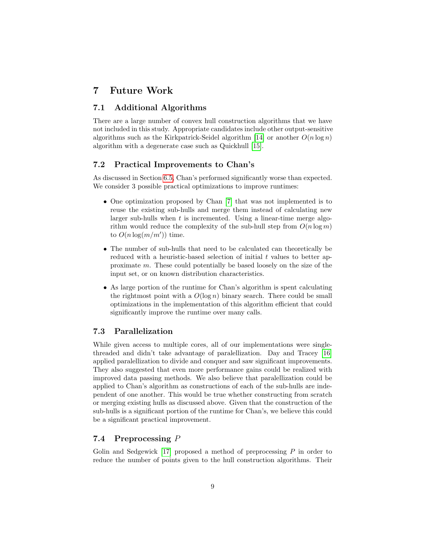## 7 Future Work

#### 7.1 Additional Algorithms

There are a large number of convex hull construction algorithms that we have not included in this study. Appropriate candidates include other output-sensitive algorithms such as the Kirkpatrick-Seidel algorithm [\[14\]](#page-10-7) or another  $O(n \log n)$ algorithm with a degenerate case such as Quickhull [\[15\]](#page-10-8).

### 7.2 Practical Improvements to Chan's

As discussed in Section [6.5,](#page-6-0) Chan's performed significantly worse than expected. We consider 3 possible practical optimizations to improve runtimes:

- One optimization proposed by Chan [\[7\]](#page-10-0) that was not implemented is to reuse the existing sub-hulls and merge them instead of calculating new larger sub-hulls when  $t$  is incremented. Using a linear-time merge algorithm would reduce the complexity of the sub-hull step from  $O(n \log m)$ to  $O(n \log(m/m'))$  time.
- The number of sub-hulls that need to be calculated can theoretically be reduced with a heuristic-based selection of initial  $t$  values to better approximate m. These could potentially be based loosely on the size of the input set, or on known distribution characteristics.
- As large portion of the runtime for Chan's algorithm is spent calculating the rightmost point with a  $O(\log n)$  binary search. There could be small optimizations in the implementation of this algorithm efficient that could significantly improve the runtime over many calls.

#### 7.3 Parallelization

While given access to multiple cores, all of our implementations were singlethreaded and didn't take advantage of paralellization. Day and Tracey [\[16\]](#page-10-9) applied paralellization to divide and conquer and saw significant improvements. They also suggested that even more performance gains could be realized with improved data passing methods. We also believe that paralellization could be applied to Chan's algorithm as constructions of each of the sub-hulls are independent of one another. This would be true whether constructing from scratch or merging existing hulls as discussed above. Given that the construction of the sub-hulls is a significant portion of the runtime for Chan's, we believe this could be a significant practical improvement.

#### 7.4 Preprocessing P

Golin and Sedgewick  $[17]$  proposed a method of preprocessing  $P$  in order to reduce the number of points given to the hull construction algorithms. Their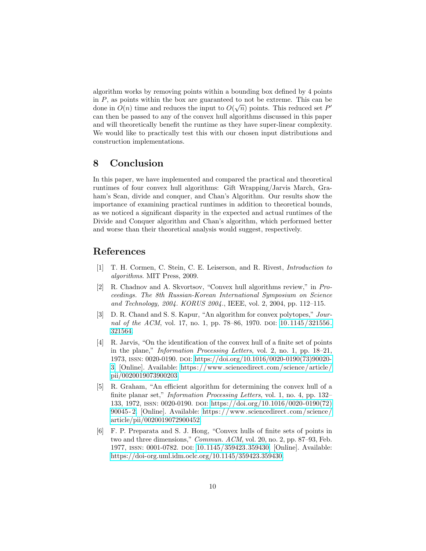algorithm works by removing points within a bounding box defined by 4 points in P, as points within the box are guaranteed to not be extreme. This can be done in  $O(n)$  time and reduces the input to  $O(\sqrt{n})$  points. This reduced set P' can then be passed to any of the convex hull algorithms discussed in this paper and will theoretically benefit the runtime as they have super-linear complexity. We would like to practically test this with our chosen input distributions and construction implementations.

## 8 Conclusion

In this paper, we have implemented and compared the practical and theoretical runtimes of four convex hull algorithms: Gift Wrapping/Jarvis March, Graham's Scan, divide and conquer, and Chan's Algorithm. Our results show the importance of examining practical runtimes in addition to theoretical bounds, as we noticed a significant disparity in the expected and actual runtimes of the Divide and Conquer algorithm and Chan's algorithm, which performed better and worse than their theoretical analysis would suggest, respectively.

## References

- <span id="page-9-0"></span>[1] T. H. Cormen, C. Stein, C. E. Leiserson, and R. Rivest, Introduction to algorithms. MIT Press, 2009.
- <span id="page-9-1"></span>[2] R. Chadnov and A. Skvortsov, "Convex hull algorithms review," in Proceedings. The 8th Russian-Korean International Symposium on Science and Technology, 2004. KORUS 2004., IEEE, vol. 2, 2004, pp. 112–115.
- <span id="page-9-2"></span>[3] D. R. Chand and S. S. Kapur, "An algorithm for convex polytopes," Journal of the ACM, vol. 17, no. 1, pp. 78–86, 1970. doi:  $10.1145/321556$ . [321564.](https://doi.org/10.1145/321556.321564)
- <span id="page-9-3"></span>[4] R. Jarvis, "On the identification of the convex hull of a finite set of points in the plane," Information Processing Letters, vol. 2, no. 1, pp. 18–21, 1973, issn: 0020-0190. doi: [https://doi.org/10.1016/0020-0190\(73\)90020-](https://doi.org/https://doi.org/10.1016/0020-0190(73)90020-3) [3.](https://doi.org/https://doi.org/10.1016/0020-0190(73)90020-3) [Online]. Available: [https://www.sciencedirect.com/science/article/](https://www.sciencedirect.com/science/article/pii/0020019073900203) [pii/0020019073900203.](https://www.sciencedirect.com/science/article/pii/0020019073900203)
- <span id="page-9-4"></span>[5] R. Graham, "An efficient algorithm for determining the convex hull of a finite planar set," *Information Processing Letters*, vol. 1, no. 4, pp. 132– 133, 1972, issn: 0020-0190. doi: [https://doi.org/10.1016/0020-0190\(72\)](https://doi.org/https://doi.org/10.1016/0020-0190(72)90045-2) [90045 - 2.](https://doi.org/https://doi.org/10.1016/0020-0190(72)90045-2) [Online]. Available: [https: / /www. sciencedirect.com / science /](https://www.sciencedirect.com/science/article/pii/0020019072900452) [article/pii/0020019072900452.](https://www.sciencedirect.com/science/article/pii/0020019072900452)
- <span id="page-9-5"></span>[6] F. P. Preparata and S. J. Hong, "Convex hulls of finite sets of points in two and three dimensions," Commun. ACM, vol. 20, no. 2, pp. 87–93, Feb. 1977, ISSN: 0001-0782. DOI: [10.1145/359423.359430.](https://doi.org/10.1145/359423.359430) [Online]. Available: [https://doi-org.uml.idm.oclc.org/10.1145/359423.359430.](https://doi-org.uml.idm.oclc.org/10.1145/359423.359430)